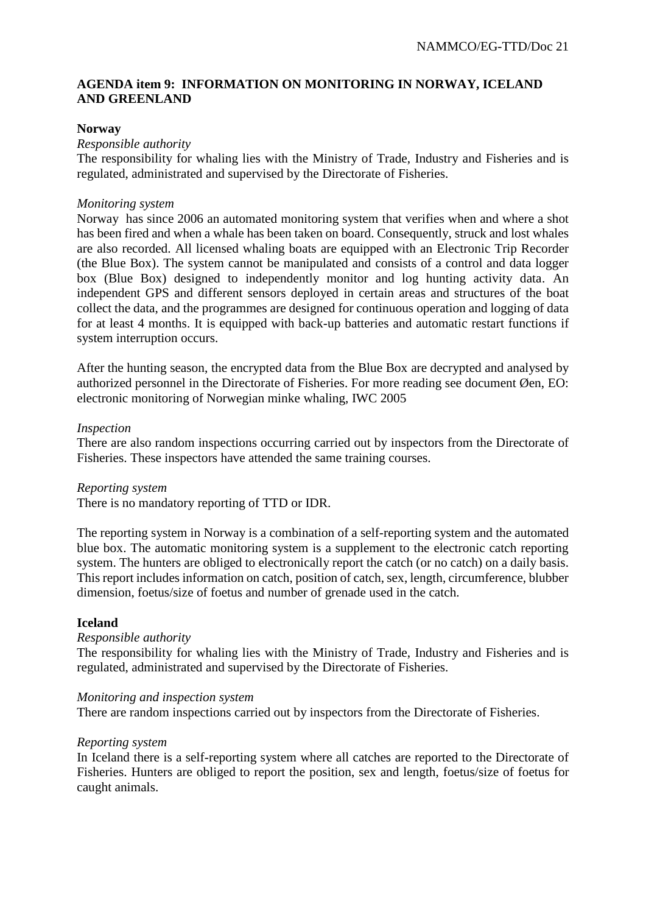# **AGENDA item 9: INFORMATION ON MONITORING IN NORWAY, ICELAND AND GREENLAND**

## **Norway**

#### *Responsible authority*

The responsibility for whaling lies with the Ministry of Trade, Industry and Fisheries and is regulated, administrated and supervised by the Directorate of Fisheries.

## *Monitoring system*

Norway has since 2006 an automated monitoring system that verifies when and where a shot has been fired and when a whale has been taken on board. Consequently, struck and lost whales are also recorded. All licensed whaling boats are equipped with an Electronic Trip Recorder (the Blue Box). The system cannot be manipulated and consists of a control and data logger box (Blue Box) designed to independently monitor and log hunting activity data. An independent GPS and different sensors deployed in certain areas and structures of the boat collect the data, and the programmes are designed for continuous operation and logging of data for at least 4 months. It is equipped with back-up batteries and automatic restart functions if system interruption occurs.

After the hunting season, the encrypted data from the Blue Box are decrypted and analysed by authorized personnel in the Directorate of Fisheries. For more reading see document Øen, EO: electronic monitoring of Norwegian minke whaling, IWC 2005

#### *Inspection*

There are also random inspections occurring carried out by inspectors from the Directorate of Fisheries. These inspectors have attended the same training courses.

#### *Reporting system*

There is no mandatory reporting of TTD or IDR.

The reporting system in Norway is a combination of a self-reporting system and the automated blue box. The automatic monitoring system is a supplement to the electronic catch reporting system. The hunters are obliged to electronically report the catch (or no catch) on a daily basis. This report includes information on catch, position of catch, sex, length, circumference, blubber dimension, foetus/size of foetus and number of grenade used in the catch.

#### **Iceland**

#### *Responsible authority*

The responsibility for whaling lies with the Ministry of Trade, Industry and Fisheries and is regulated, administrated and supervised by the Directorate of Fisheries.

#### *Monitoring and inspection system*

There are random inspections carried out by inspectors from the Directorate of Fisheries.

#### *Reporting system*

In Iceland there is a self-reporting system where all catches are reported to the Directorate of Fisheries. Hunters are obliged to report the position, sex and length, foetus/size of foetus for caught animals.